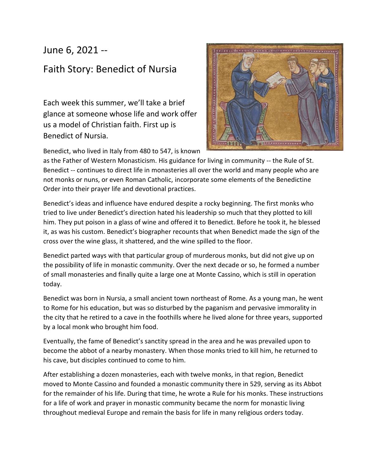## June 6, 2021 --

## Faith Story: Benedict of Nursia

Each week this summer, we'll take a brief glance at someone whose life and work offer us a model of Christian faith. First up is Benedict of Nursia.



Benedict, who lived in Italy from 480 to 547, is known

as the Father of Western Monasticism. His guidance for living in community -- the Rule of St. Benedict -- continues to direct life in monasteries all over the world and many people who are not monks or nuns, or even Roman Catholic, incorporate some elements of the Benedictine Order into their prayer life and devotional practices.

Benedict's ideas and influence have endured despite a rocky beginning. The first monks who tried to live under Benedict's direction hated his leadership so much that they plotted to kill him. They put poison in a glass of wine and offered it to Benedict. Before he took it, he blessed it, as was his custom. Benedict's biographer recounts that when Benedict made the sign of the cross over the wine glass, it shattered, and the wine spilled to the floor.

Benedict parted ways with that particular group of murderous monks, but did not give up on the possibility of life in monastic community. Over the next decade or so, he formed a number of small monasteries and finally quite a large one at Monte Cassino, which is still in operation today.

Benedict was born in Nursia, a small ancient town northeast of Rome. As a young man, he went to Rome for his education, but was so disturbed by the paganism and pervasive immorality in the city that he retired to a cave in the foothills where he lived alone for three years, supported by a local monk who brought him food.

Eventually, the fame of Benedict's sanctity spread in the area and he was prevailed upon to become the abbot of a nearby monastery. When those monks tried to kill him, he returned to his cave, but disciples continued to come to him.

After establishing a dozen monasteries, each with twelve monks, in that region, Benedict moved to Monte Cassino and founded a monastic community there in 529, serving as its Abbot for the remainder of his life. During that time, he wrote a Rule for his monks. These instructions for a life of work and prayer in monastic community became the norm for monastic living throughout medieval Europe and remain the basis for life in many religious orders today.